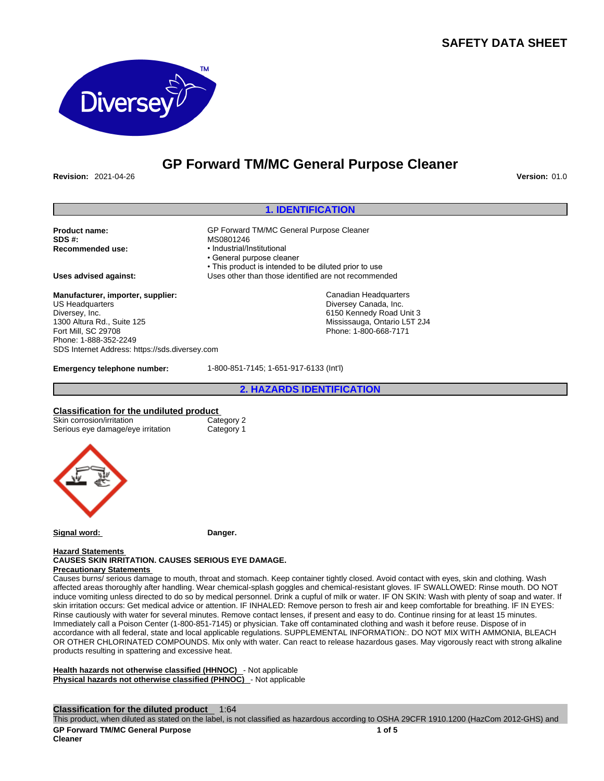## **SAFETY DATA SHEET**



## **GP Forward TM/MC General Purpose Cleaner**

**Revision:** 2021-04-26 **Version:** 01.0

### **1. IDENTIFICATION**

**Product name: CP Forward TM/MC General Purpose Cleaner**<br>
SDS #: **MS0801246 SDS #:** MS0801246

**Manufacturer, importer, supplier:**

US Headquarters Diversey, Inc. 1300 Altura Rd., Suite 125 Fort Mill, SC 29708 Phone: 1-888-352-2249 SDS Internet Address: https://sds.diversey.com

• General purpose cleaner

**Recommended use:** • Industrial/Institutional

• This product is intended to be diluted prior to use **Uses advised against:** Uses other than those identified are not recommended

> Canadian Headquarters Diversey Canada, Inc. 6150 Kennedy Road Unit 3 Mississauga, Ontario L5T 2J4 Phone: 1-800-668-7171

**Emergency telephone number:** 1-800-851-7145; 1-651-917-6133 (Int'l)

**2. HAZARDS IDENTIFICATION**

# **Classification for the undiluted product**<br>
Skin corrosion/irritation<br>
Category 2

Skin corrosion/irritation Category 2<br>
Serious eye damage/eye irritation Category 1 Serious eye damage/eye irritation



**Signal word: Danger.**

#### **Hazard Statements CAUSES SKIN IRRITATION. CAUSES SERIOUS EYE DAMAGE.**

**Precautionary Statements** 

Causes burns/ serious damage to mouth, throat and stomach. Keep container tightly closed. Avoid contact with eyes, skin and clothing. Wash affected areas thoroughly after handling. Wear chemical-splash goggles and chemical-resistant gloves. IF SWALLOWED: Rinse mouth. DO NOT induce vomiting unless directed to do so by medical personnel. Drink a cupful of milk or water. IF ON SKIN: Wash with plenty of soap and water. If skin irritation occurs: Get medical advice or attention. IF INHALED: Remove person to fresh air and keep comfortable for breathing. IF IN EYES: Rinse cautiously with water for several minutes. Remove contact lenses, if present and easy to do. Continue rinsing for at least 15 minutes. Immediately call a Poison Center (1-800-851-7145) or physician. Take off contaminated clothing and wash it before reuse. Dispose of in accordance with all federal, state and local applicable regulations. SUPPLEMENTAL INFORMATION:. DO NOT MIX WITH AMMONIA, BLEACH OR OTHER CHLORINATED COMPOUNDS. Mix only with water. Can react to release hazardous gases. May vigorously react with strong alkaline products resulting in spattering and excessive heat.

**Health hazards not otherwise classified (HHNOC)** - Not applicable **Physical hazards not otherwise classified (PHNOC)** - Not applicable

**Classification for the diluted product** 1:64

This product, when diluted as stated on the label, is not classified as hazardous according to OSHA 29CFR 1910.1200 (HazCom 2012-GHS) and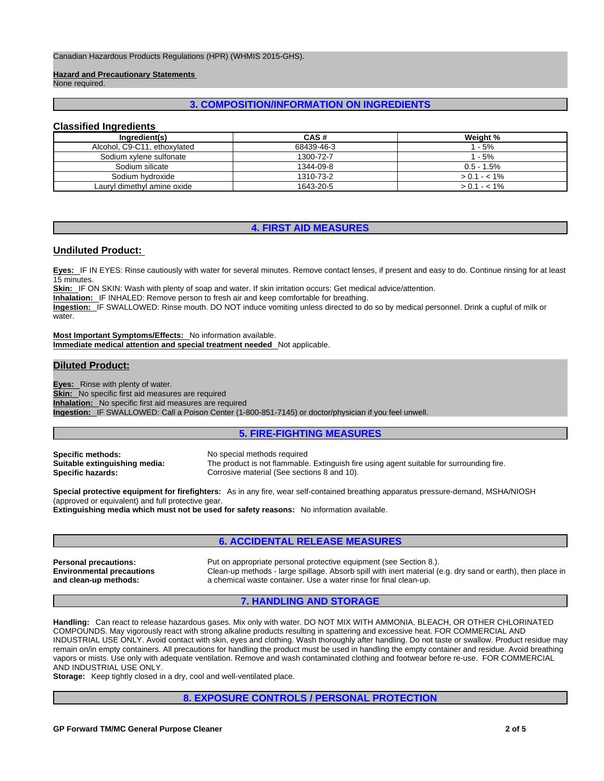Canadian Hazardous Products Regulations (HPR) (WHMIS 2015-GHS).

**Hazard and Precautionary Statements** 

None required.

### **3. COMPOSITION/INFORMATION ON INGREDIENTS**

### **Classified Ingredients**

| Ingredient(s)                | CAS#       | Weight %      |
|------------------------------|------------|---------------|
| Alcohol, C9-C11, ethoxylated | 68439-46-3 | 1 - 5%        |
| Sodium xylene sulfonate      | 1300-72-7  | 1 - 5%        |
| Sodium silicate              | 1344-09-8  | $0.5 - 1.5\%$ |
| Sodium hydroxide             | 1310-73-2  | $> 0.1 - 1\%$ |
| Lauryl dimethyl amine oxide  | 1643-20-5  | $> 0.1 - 1\%$ |

## **4. FIRST AID MEASURES**

### **Undiluted Product:**

**Eyes:** IF IN EYES: Rinse cautiously with water for several minutes. Remove contact lenses, if present and easy to do. Continue rinsing for at least 15 minutes.

**Skin:** IF ON SKIN: Wash with plenty of soap and water. If skin irritation occurs: Get medical advice/attention.

**Inhalation:** IF INHALED: Remove person to fresh air and keep comfortable for breathing.

**Ingestion:** IF SWALLOWED: Rinse mouth. DO NOT induce vomiting unless directed to do so by medical personnel. Drink a cupful of milk or water.

**Most Important Symptoms/Effects:** No information available.

**Immediate medical attention and special treatment needed** Not applicable.

### **Diluted Product:**

**Eyes:** Rinse with plenty of water.

**Skin:** No specific first aid measures are required

**Inhalation:** No specific first aid measures are required

**Ingestion:** IF SWALLOWED: Call a Poison Center (1-800-851-7145) or doctor/physician if you feel unwell.

### **5. FIRE-FIGHTING MEASURES**

**Specific methods:** No special methods required<br> **Suitable extinguishing media:** The product is not flammable

The product is not flammable. Extinguish fire using agent suitable for surrounding fire. **Specific hazards: Corrosive material (See sections 8 and 10).** Corrosive material (See sections 8 and 10).

**Special protective equipment for firefighters:** As in any fire, wear self-contained breathing apparatus pressure-demand, MSHA/NIOSH (approved or equivalent) and full protective gear.

**Extinguishing media which must not be used for safety reasons:** No information available.

### **6. ACCIDENTAL RELEASE MEASURES**

**Environmental precautions and clean-up methods:** 

**Personal precautions:** Put on appropriate personal protective equipment (see Section 8.). Clean-up methods - large spillage. Absorb spill with inert material (e.g. dry sand or earth), then place in a chemical waste container. Use a water rinse for final clean-up.

#### **7. HANDLING AND STORAGE**

**Handling:** Can react to release hazardous gases. Mix only with water. DO NOT MIX WITH AMMONIA, BLEACH, OR OTHER CHLORINATED COMPOUNDS. May vigorously react with strong alkaline products resulting in spattering and excessive heat. FOR COMMERCIAL AND INDUSTRIAL USE ONLY. Avoid contact with skin, eyes and clothing. Wash thoroughly after handling. Do not taste or swallow. Product residue may remain on/in empty containers. All precautions for handling the product must be used in handling the empty container and residue. Avoid breathing vapors or mists. Use only with adequate ventilation. Remove and wash contaminated clothing and footwear before re-use. FOR COMMERCIAL AND INDUSTRIAL USE ONLY.

**Storage:** Keep tightly closed in a dry, cool and well-ventilated place.

#### **8. EXPOSURE CONTROLS / PERSONAL PROTECTION**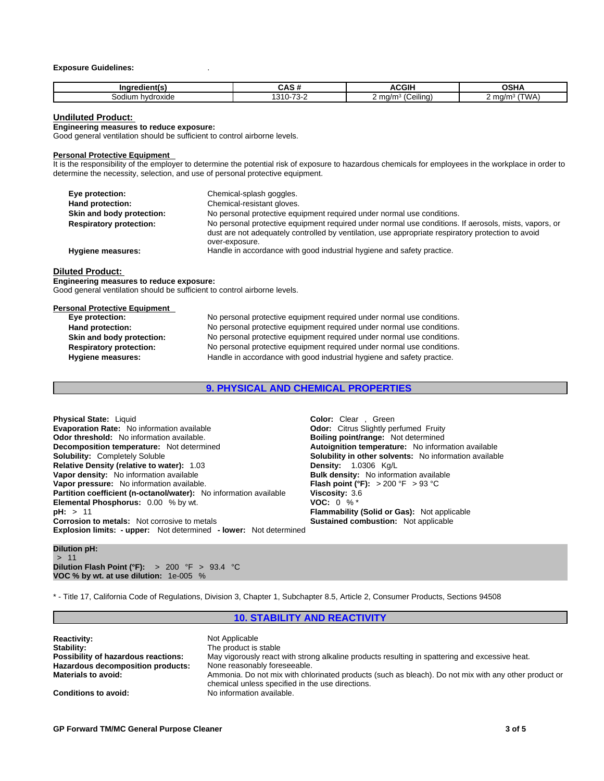#### **Exposure Guidelines:** .

| ------<br>lientí:   | . .                                                 | $\sim$ IL<br>uun                                        | .                                            |
|---------------------|-----------------------------------------------------|---------------------------------------------------------|----------------------------------------------|
| hvdroxide<br>odiumص | ໍົ<br>$\overline{\phantom{a}}$<br>~-<br>ີ<br>.<br>. | $\leq$ ma/m <sup><math>\approx</math></sup><br>Ceiling) | m∩/m∘<br><u> WV д</u><br><b>v</b> v <i>l</i> |

#### **Undiluted Product:**

**Engineering measures to reduce exposure:**

Good general ventilation should be sufficient to control airborne levels.

#### **Personal Protective Equipment**

It is the responsibility of the employer to determine the potential risk of exposure to hazardous chemicals for employees in the workplace in order to determine the necessity, selection, and use of personal protective equipment.

| Eye protection:                | Chemical-splash goggles.                                                                                                                                                                                                      |
|--------------------------------|-------------------------------------------------------------------------------------------------------------------------------------------------------------------------------------------------------------------------------|
| Hand protection:               | Chemical-resistant gloves.                                                                                                                                                                                                    |
| Skin and body protection:      | No personal protective equipment required under normal use conditions.                                                                                                                                                        |
| <b>Respiratory protection:</b> | No personal protective equipment required under normal use conditions. If aerosols, mists, vapors, or<br>dust are not adequately controlled by ventilation, use appropriate respiratory protection to avoid<br>over-exposure. |
| <b>Hygiene measures:</b>       | Handle in accordance with good industrial hygiene and safety practice.                                                                                                                                                        |
| .                              |                                                                                                                                                                                                                               |

### **Diluted Product:**

**Engineering measures to reduce exposure:** Good general ventilation should be sufficient to control airborne levels.

| <b>Personal Protective Equipment</b><br>Eye protection: | No personal protective equipment required under normal use conditions. |
|---------------------------------------------------------|------------------------------------------------------------------------|
|                                                         |                                                                        |
| Hand protection:                                        | No personal protective equipment required under normal use conditions. |
| Skin and body protection:                               | No personal protective equipment required under normal use conditions. |
| <b>Respiratory protection:</b>                          | No personal protective equipment required under normal use conditions. |
| Hygiene measures:                                       | Handle in accordance with good industrial hygiene and safety practice. |

**9. PHYSICAL AND CHEMICAL PROPERTIES**

| <b>Physical State: Liquid</b>                                            | <b>Color:</b> Clear, Green                                    |
|--------------------------------------------------------------------------|---------------------------------------------------------------|
| <b>Evaporation Rate:</b> No information available                        | <b>Odor:</b> Citrus Slightly perfumed Fruity                  |
| <b>Odor threshold:</b> No information available.                         | <b>Boiling point/range:</b> Not determined                    |
| <b>Decomposition temperature:</b> Not determined                         | Autoignition temperature: No information available            |
| <b>Solubility: Completely Soluble</b>                                    | <b>Solubility in other solvents:</b> No information available |
| <b>Relative Density (relative to water): 1.03</b>                        | <b>Density:</b> $1.0306$ Kg/L                                 |
| Vapor density: No information available                                  | <b>Bulk density:</b> No information available                 |
| Vapor pressure: No information available.                                | <b>Flash point (°F):</b> $> 200$ °F $> 93$ °C                 |
| Partition coefficient (n-octanol/water): No information available        | Viscosity: 3.6                                                |
| <b>Elemental Phosphorus:</b> 0.00 % by wt.                               | <b>VOC:</b> $0\%$ <sup>*</sup>                                |
| pH: > 11                                                                 | Flammability (Solid or Gas): Not applicable                   |
| <b>Corrosion to metals:</b> Not corrosive to metals                      | <b>Sustained combustion:</b> Not applicable                   |
| <b>Explosion limits: - upper:</b> Not determined - lower: Not determined |                                                               |

#### **Dilution pH:**

 $> 11$  and  $\sim$  11 and  $\sim$ **Dilution Flash Point (°F):** > 200 °F > 93.4 °C **VOC % by wt. at use dilution:** 1e-005 %

\* - Title 17, California Code of Regulations, Division 3, Chapter 1, Subchapter 8.5, Article 2, Consumer Products, Sections 94508

### **10. STABILITY AND REACTIVITY**

| <b>Reactivity:</b>                  | Not Applicable                                                                                       |
|-------------------------------------|------------------------------------------------------------------------------------------------------|
| Stability:                          | The product is stable                                                                                |
| Possibility of hazardous reactions: | May vigorously react with strong alkaline products resulting in spattering and excessive heat.       |
| Hazardous decomposition products:   | None reasonably foreseeable.                                                                         |
| <b>Materials to avoid:</b>          | Ammonia. Do not mix with chlorinated products (such as bleach). Do not mix with any other product or |
|                                     | chemical unless specified in the use directions.                                                     |
| <b>Conditions to avoid:</b>         | No information available.                                                                            |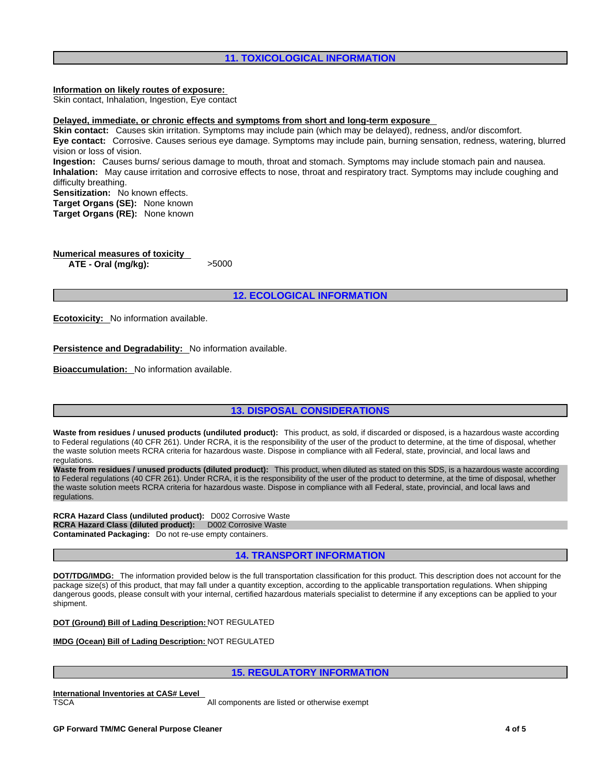### **11. TOXICOLOGICAL INFORMATION**

### **Information on likely routes of exposure:**

Skin contact, Inhalation, Ingestion, Eye contact

**Delayed, immediate, or chronic effects and symptoms from short and long-term exposure**

**Skin contact:** Causes skin irritation. Symptoms may include pain (which may be delayed), redness, and/or discomfort. **Eye contact:** Corrosive. Causes serious eye damage. Symptoms may include pain, burning sensation, redness, watering, blurred vision or loss of vision. **Ingestion:** Causes burns/ serious damage to mouth, throat and stomach. Symptoms may include stomach pain and nausea.

**Inhalation:** May cause irritation and corrosive effects to nose, throat and respiratory tract. Symptoms may include coughing and difficulty breathing.

**Sensitization:** No known effects.

**Target Organs (SE):** None known

**Target Organs (RE):** None known

| <b>Numerical measures of toxicity</b> |       |  |
|---------------------------------------|-------|--|
| ATE - Oral (mg/kg):                   | >5000 |  |

**12. ECOLOGICAL INFORMATION**

**Ecotoxicity:** No information available.

**Persistence and Degradability:** No information available.

**Bioaccumulation:** No information available.

### **13. DISPOSAL CONSIDERATIONS**

**Waste from residues / unused products (undiluted product):** This product, as sold, if discarded or disposed, is a hazardous waste according to Federal regulations (40 CFR 261). Under RCRA, it is the responsibility of the user of the product to determine, at the time of disposal, whether the waste solution meets RCRA criteria for hazardous waste. Dispose in compliance with all Federal, state, provincial, and local laws and regulations.

**Waste from residues / unused products (diluted product):** This product, when diluted as stated on this SDS, is a hazardous waste according to Federal regulations (40 CFR 261). Under RCRA, it is the responsibility of the user of the product to determine, at the time of disposal, whether the waste solution meets RCRA criteria for hazardous waste. Dispose in compliance with all Federal, state, provincial, and local laws and regulations.

**RCRA Hazard Class (undiluted product):** D002 Corrosive Waste **RCRA Hazard Class (diluted product):** D002 Corrosive Waste **Contaminated Packaging:** Do not re-use empty containers.

### **14. TRANSPORT INFORMATION**

**DOT/TDG/IMDG:** The information provided below is the full transportation classification for this product. This description does not account for the package size(s) of this product, that may fall under a quantity exception, according to the applicable transportation regulations. When shipping dangerous goods, please consult with your internal, certified hazardous materials specialist to determine if any exceptions can be applied to your shipment.

**DOT (Ground) Bill of Lading Description:** NOT REGULATED

**IMDG (Ocean) Bill of Lading Description:** NOT REGULATED

### **15. REGULATORY INFORMATION**

**International Inventories at CAS# Level** 

TSCA All components are listed or otherwise exempt